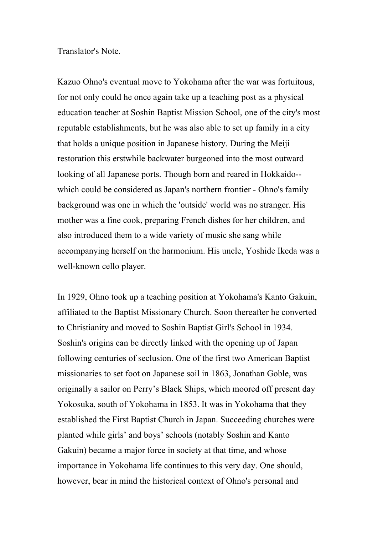## Translator's Note.

Kazuo Ohno's eventual move to Yokohama after the war was fortuitous, for not only could he once again take up a teaching post as a physical education teacher at Soshin Baptist Mission School, one of the city's most reputable establishments, but he was also able to set up family in a city that holds a unique position in Japanese history. During the Meiji restoration this erstwhile backwater burgeoned into the most outward looking of all Japanese ports. Though born and reared in Hokkaido- which could be considered as Japan's northern frontier - Ohno's family background was one in which the 'outside' world was no stranger. His mother was a fine cook, preparing French dishes for her children, and also introduced them to a wide variety of music she sang while accompanying herself on the harmonium. His uncle, Yoshide Ikeda was a well-known cello player.

In 1929, Ohno took up a teaching position at Yokohama's Kanto Gakuin, affiliated to the Baptist Missionary Church. Soon thereafter he converted to Christianity and moved to Soshin Baptist Girl's School in 1934. Soshin's origins can be directly linked with the opening up of Japan following centuries of seclusion. One of the first two American Baptist missionaries to set foot on Japanese soil in 1863, Jonathan Goble, was originally a sailor on Perry's Black Ships, which moored off present day Yokosuka, south of Yokohama in 1853. It was in Yokohama that they established the First Baptist Church in Japan. Succeeding churches were planted while girls' and boys' schools (notably Soshin and Kanto Gakuin) became a major force in society at that time, and whose importance in Yokohama life continues to this very day. One should, however, bear in mind the historical context of Ohno's personal and